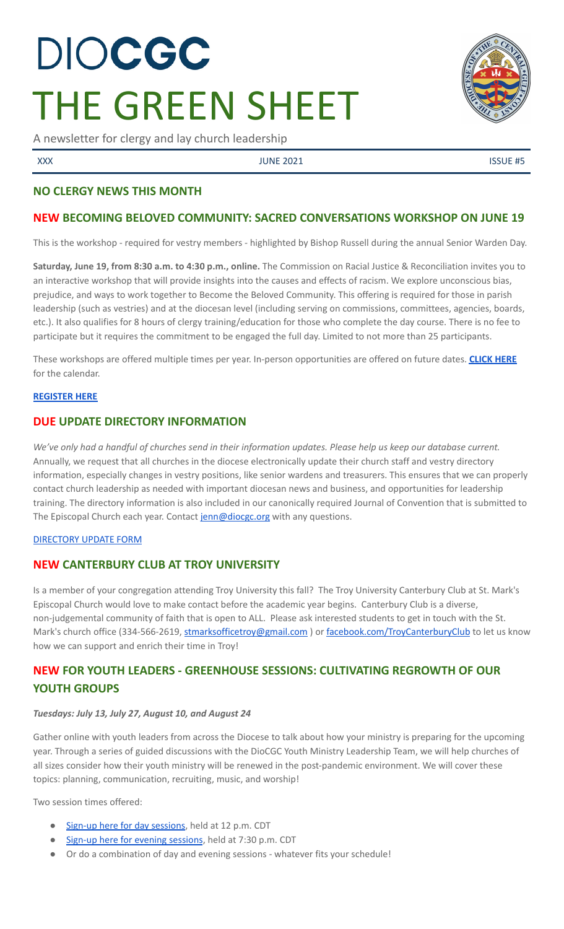# DIOCGC THE GREEN SHEET

A newsletter for clergy and lay church leadership

XXX SERVICE ASSUE AND SOME 2021 CONTROLLER USING MALE AND INVESTIGATION OF THE SUITE ASSUE ASSUE ASSUE ASSUE AS

# **NO CLERGY NEWS THIS MONTH**

## **NEW BECOMING BELOVED COMMUNITY: SACRED CONVERSATIONS WORKSHOP ON JUNE 19**

This is the workshop - required for vestry members - highlighted by Bishop Russell during the annual Senior Warden Day.

**Saturday, June 19, from 8:30 a.m. to 4:30 p.m., online.** The Commission on Racial Justice & Reconciliation invites you to an interactive workshop that will provide insights into the causes and effects of racism. We explore unconscious bias, prejudice, and ways to work together to Become the Beloved Community. This offering is required for those in parish leadership (such as vestries) and at the diocesan level (including serving on commissions, committees, agencies, boards, etc.). It also qualifies for 8 hours of clergy training/education for those who complete the day course. There is no fee to participate but it requires the commitment to be engaged the full day. Limited to not more than 25 participants.

These workshops are offered multiple times per year. In-person opportunities are offered on future dates. **[CLICK](https://2f23db9c-81c0-437f-88c1-0d3b99fdb03d.filesusr.com/ugd/4525a9_5d80e3b15c3947dfb5cd1329f1ffe6f9.pdf) HERE** for the calendar.

#### **[REGISTER](https://www.eventbrite.com/e/becoming-beloved-communitysacred-conversations-on-racial-reconciliation-tickets-156776257005) HERE**

# **DUE UPDATE DIRECTORY INFORMATION**

We've only had a handful of churches send in their information updates. Please help us keep our database current. Annually, we request that all churches in the diocese electronically update their church staff and vestry directory information, especially changes in vestry positions, like senior wardens and treasurers. This ensures that we can properly contact church leadership as needed with important diocesan news and business, and opportunities for leadership training. The directory information is also included in our canonically required Journal of Convention that is submitted to The Episcopal Church each year. Contact [jenn@diocgc.org](mailto:jenn@diocgc.org) with any questions.

#### [DIRECTORY](https://www.emailmeform.com/builder/form/eji270wUd6T49) UPDATE FORM

#### **NEW CANTERBURY CLUB AT TROY UNIVERSITY**

Is a member of your congregation attending Troy University this fall? The Troy University Canterbury Club at St. Mark's Episcopal Church would love to make contact before the academic year begins. Canterbury Club is a diverse, non-judgemental community of faith that is open to ALL. Please ask interested students to get in touch with the St. Mark's church office (334-566-2619, [stmarksofficetroy@gmail.com](mailto:stmarksofficetroy@gmail.com)) or [facebook.com/TroyCanterburyClub](https://www.facebook.com/TroyCanterburyClub) to let us know how we can support and enrich their time in Troy!

# **NEW FOR YOUTH LEADERS - GREENHOUSE SESSIONS: CULTIVATING REGROWTH OF OUR YOUTH GROUPS**

#### *Tuesdays: July 13, July 27, August 10, and August 24*

Gather online with youth leaders from across the Diocese to talk about how your ministry is preparing for the upcoming year. Through a series of guided discussions with the DioCGC Youth Ministry Leadership Team, we will help churches of all sizes consider how their youth ministry will be renewed in the post-pandemic environment. We will cover these topics: planning, communication, recruiting, music, and worship!

Two session times offered:

- Sign-up here for day [sessions](https://us02web.zoom.us/meeting/register/tZMsduiuqjIqHdXCKVTUHhq_Dszwpi5TKEjG), held at 12 p.m. CDT
- Sign-up here for evening [sessions](https://us02web.zoom.us/meeting/register/tZcqdOivpzwsGNKKON5NlRCJeFpgx3HnNqIF), held at 7:30 p.m. CDT
- Or do a combination of day and evening sessions whatever fits your schedule!

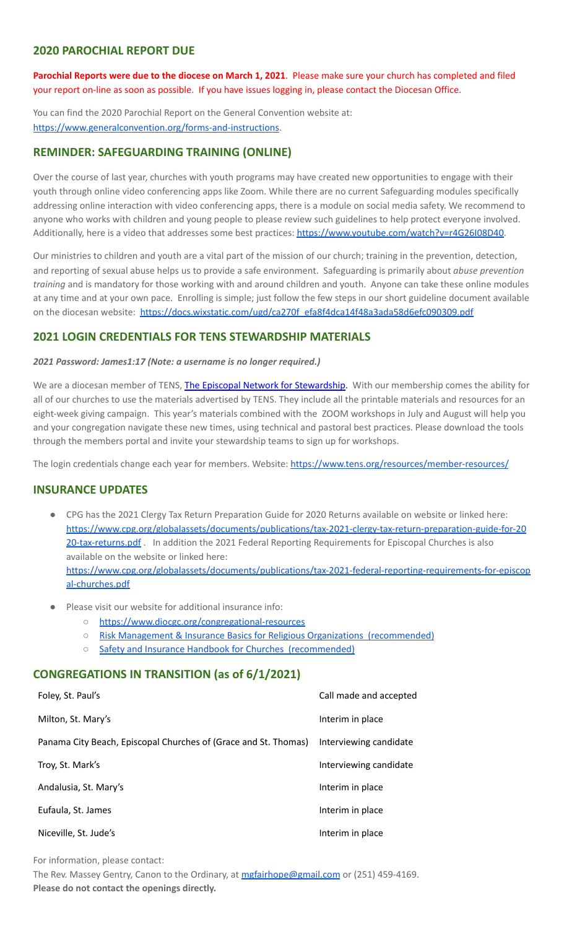# **2020 PAROCHIAL REPORT DUE**

**Parochial Reports were due to the diocese on March 1, 2021**. Please make sure your church has completed and filed your report on-line as soon as possible. If you have issues logging in, please contact the Diocesan Office.

You can find the 2020 Parochial Report on the General Convention website at: <https://www.generalconvention.org/forms-and-instructions>.

# **REMINDER: SAFEGUARDING TRAINING (ONLINE)**

Over the course of last year, churches with youth programs may have created new opportunities to engage with their youth through online video conferencing apps like Zoom. While there are no current Safeguarding modules specifically addressing online interaction with video conferencing apps, there is a module on social media safety. We recommend to anyone who works with children and young people to please review such guidelines to help protect everyone involved. Additionally, here is a video that addresses some best practices: [https://www.youtube.com/watch?v=r4G26I08D40.](https://www.youtube.com/watch?v=r4G26I08D40)

Our ministries to children and youth are a vital part of the mission of our church; training in the prevention, detection, and reporting of sexual abuse helps us to provide a safe environment. Safeguarding is primarily about *abuse prevention training* and is mandatory for those working with and around children and youth. Anyone can take these online modules at any time and at your own pace. Enrolling is simple; just follow the few steps in our short guideline document available on the diocesan website: [https://docs.wixstatic.com/ugd/ca270f\\_efa8f4dca14f48a3ada58d6efc090309.pdf](https://docs.wixstatic.com/ugd/ca270f_efa8f4dca14f48a3ada58d6efc090309.pdf)

# **2021 LOGIN CREDENTIALS FOR TENS STEWARDSHIP MATERIALS**

*2021 Password: James1:17 (Note: a username is no longer required.)*

We are a diocesan member of TENS, The Episcopal Network for [Stewardship.](http://r20.rs6.net/tn.jsp?f=0012pqt_t4bfTKnRF8Xmufb-M4Ry8JkNpVzuf-DfMr466n2fJlrEabEgWXavWDn2Hx3i5ph5cMsQu0KkvBM2IIao7IcazXgBLtGdZrXLuo4poO7i2eq_EiuExGDSC-wd1a3AjKcDRDPj18=&c=9_JBIUfw9Y9WIzA02dVBmW_Dc5eF3SbOEA5-vLB-MbLj0nQWfaMvNg==&ch=bNQQUmRhILUjCbu1RkHCQ0rqqsD1-RBYprcIQ3NuhLlaKPcsXS1TyQ==) With our membership comes the ability for all of our churches to use the materials advertised by TENS. They include all the printable materials and resources for an eight-week giving campaign. This year's materials combined with the ZOOM workshops in July and August will help you and your congregation navigate these new times, using technical and pastoral best practices. Please download the tools through the members portal and invite your stewardship teams to sign up for workshops.

The login credentials change each year for members. Website: <https://www.tens.org/resources/member-resources/>

# **INSURANCE UPDATES**

- CPG has the 2021 Clergy Tax Return Preparation Guide for 2020 Returns available on website or linked here: [https://www.cpg.org/globalassets/documents/publications/tax-2021-clergy-tax-return-preparation-guide-for-20](https://www.cpg.org/globalassets/documents/publications/tax-2021-clergy-tax-return-preparation-guide-for-2020-tax-returns.pdf) [20-tax-returns.pdf](https://www.cpg.org/globalassets/documents/publications/tax-2021-clergy-tax-return-preparation-guide-for-2020-tax-returns.pdf) . In addition the 2021 Federal Reporting Requirements for Episcopal Churches is also available on the website or linked here: [https://www.cpg.org/globalassets/documents/publications/tax-2021-federal-reporting-requirements-for-episcop](https://www.cpg.org/globalassets/documents/publications/tax-2021-federal-reporting-requirements-for-episcopal-churches.pdf) [al-churches.pdf](https://www.cpg.org/globalassets/documents/publications/tax-2021-federal-reporting-requirements-for-episcopal-churches.pdf)
- Please visit our website for additional insurance info:
	- <https://www.diocgc.org/congregational-resources>
	- Risk Management & Insurance Basics for Religious Organizations [\(recommended\)](https://2f23db9c-81c0-437f-88c1-0d3b99fdb03d.filesusr.com/ugd/ca270f_0fc945a39bad470191c4075c97602c08.pdf)
	- Safety and Insurance Handbook for Churches [\(recommended\)](https://2f23db9c-81c0-437f-88c1-0d3b99fdb03d.filesusr.com/ugd/4525a9_6b89020a60b040f49e2f7feb44b56873.pdf)

#### **CONGREGATIONS IN TRANSITION (as of 6/1/2021)**

| Foley, St. Paul's                                               | Call made and accepted |
|-----------------------------------------------------------------|------------------------|
| Milton, St. Mary's                                              | Interim in place       |
| Panama City Beach, Episcopal Churches of (Grace and St. Thomas) | Interviewing candidate |
| Troy, St. Mark's                                                | Interviewing candidate |
| Andalusia, St. Mary's                                           | Interim in place       |
| Eufaula, St. James                                              | Interim in place       |
| Niceville, St. Jude's                                           | Interim in place       |

For information, please contact:

The Rev. Massey Gentry, Canon to the Ordinary, at [mgfairhope@gmail.com](mailto:mgfairhope@gmail.com) or (251) 459-4169. **Please do not contact the openings directly.**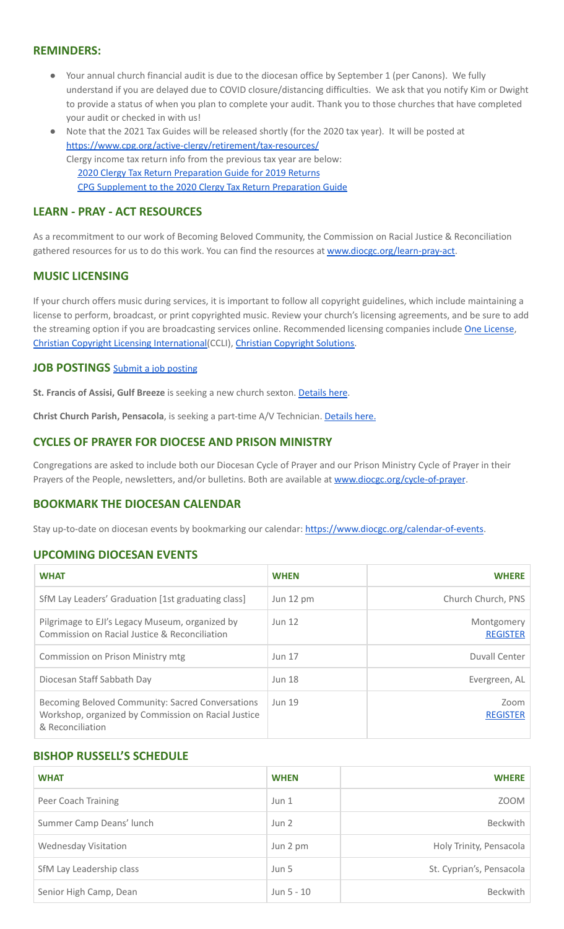# **REMINDERS:**

- Your annual church financial audit is due to the diocesan office by September 1 (per Canons). We fully understand if you are delayed due to COVID closure/distancing difficulties. We ask that you notify Kim or Dwight to provide a status of when you plan to complete your audit. Thank you to those churches that have completed your audit or checked in with us!
- Note that the 2021 Tax Guides will be released shortly (for the 2020 tax year). It will be posted at <https://www.cpg.org/active-clergy/retirement/tax-resources/> Clergy income tax return info from the previous tax year are below: 2020 Clergy Tax Return [Preparation](https://www.cpg.org/linkservid/D998735C-CE21-6189-EB815B133ECD868A/showMeta/0/?label=2020%20Clergy%20Tax%20Return%20Preparation%20Guide%20for%202019%20Tax%20Returns) Guide for 2019 Returns CPG [Supplement](https://www.cpg.org/linkservid/DA0301BC-D8CF-06D3-C4C6BAB106394432/showMeta/0/?label=Supplement%20to%20the%202020%20Clergy%20Tax%20Return%20Preparation%20Guide%20for%202019%20Returns) to the 2020 Clergy Tax Return Preparation Guide

# **LEARN - PRAY - ACT RESOURCES**

As a recommitment to our work of Becoming Beloved Community, the Commission on Racial Justice & Reconciliation gathered resources for us to do this work. You can find the resources at [www.diocgc.org/learn-pray-act.](http://www.diocgcorg/learn-pray-act)

#### **MUSIC LICENSING**

If your church offers music during services, it is important to follow all copyright guidelines, which include maintaining a license to perform, broadcast, or print copyrighted music. Review your church's licensing agreements, and be sure to add the streaming option if you are broadcasting services online. Recommended licensing companies include One [License](https://onelicense.net/), Christian Copyright Licensing [International\(](https://us.ccli.com/)CCLI), Christian [Copyright](https://christiancopyrightsolutions.com/) Solutions.

#### **JOB POSTINGS** Submit a job [posting](https://www.emailmeform.com/builder/form/0cZqC653GdH24p01aWQDfUh)

**St. Francis of Assisi, Gulf Breeze** is seeking a new church sexton. [Details](https://www.diocgc.org/post/st-francis-of-assisi-gulf-breeze-is-seeking-new-church-sexton) here.

**Christ Church Parish, Pensacola**, is seeking a part-time A/V Technician. [Details](https://christ-church.net/job-opportunities/) here.

# **CYCLES OF PRAYER FOR DIOCESE AND PRISON MINISTRY**

Congregations are asked to include both our Diocesan Cycle of Prayer and our Prison Ministry Cycle of Prayer in their Prayers of the People, newsletters, and/or bulletins. Both are available at [www.diocgc.org/cycle-of-prayer](http://www.diocgc.org/cycle-of-prayer).

# **BOOKMARK THE DIOCESAN CALENDAR**

Stay up-to-date on diocesan events by bookmarking our calendar: [https://www.diocgc.org/calendar-of-events.](https://www.diocgc.org/calendar-of-events)

#### **UPCOMING DIOCESAN EVENTS**

| <b>WHAT</b>                                                                                                                 | <b>WHEN</b>   | <b>WHERE</b>                  |
|-----------------------------------------------------------------------------------------------------------------------------|---------------|-------------------------------|
| SfM Lay Leaders' Graduation [1st graduating class]                                                                          | Jun 12 pm     | Church Church, PNS            |
| Pilgrimage to EJI's Legacy Museum, organized by<br>Commission on Racial Justice & Reconciliation                            | <b>Jun 12</b> | Montgomery<br><b>REGISTER</b> |
| Commission on Prison Ministry mtg                                                                                           | <b>Jun 17</b> | Duvall Center                 |
| Diocesan Staff Sabbath Day                                                                                                  | <b>Jun 18</b> | Evergreen, AL                 |
| Becoming Beloved Community: Sacred Conversations<br>Workshop, organized by Commission on Racial Justice<br>& Reconciliation | <b>Jun 19</b> | Zoom<br><b>REGISTER</b>       |

#### **BISHOP RUSSELL'S SCHEDULE**

| <b>WHAT</b>              | <b>WHEN</b> | <b>WHERE</b>             |
|--------------------------|-------------|--------------------------|
| Peer Coach Training      | Jun 1       | ZOOM                     |
| Summer Camp Deans' lunch | Jun 2       | Beckwith                 |
| Wednesday Visitation     | Jun 2 pm    | Holy Trinity, Pensacola  |
| SfM Lay Leadership class | Jun 5       | St. Cyprian's, Pensacola |
| Senior High Camp, Dean   | Jun 5 - 10  | <b>Beckwith</b>          |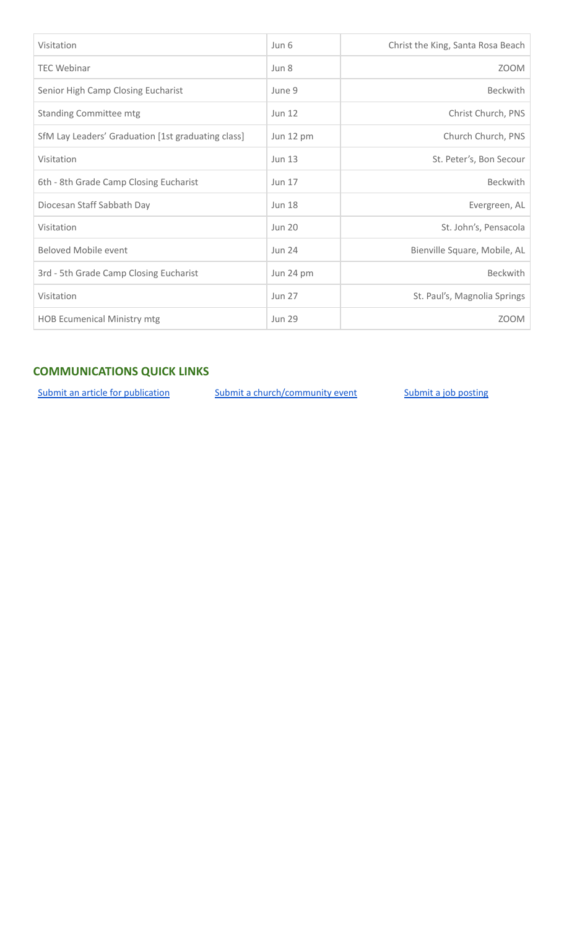| Visitation                                         | Jun 6         | Christ the King, Santa Rosa Beach |
|----------------------------------------------------|---------------|-----------------------------------|
| <b>TEC Webinar</b>                                 | Jun 8         | <b>ZOOM</b>                       |
| Senior High Camp Closing Eucharist                 | June 9        | <b>Beckwith</b>                   |
| <b>Standing Committee mtg</b>                      | <b>Jun 12</b> | Christ Church, PNS                |
| SfM Lay Leaders' Graduation [1st graduating class] | Jun 12 pm     | Church Church, PNS                |
| Visitation                                         | <b>Jun 13</b> | St. Peter's, Bon Secour           |
| 6th - 8th Grade Camp Closing Eucharist             | <b>Jun 17</b> | <b>Beckwith</b>                   |
| Diocesan Staff Sabbath Day                         | <b>Jun 18</b> | Evergreen, AL                     |
| Visitation                                         | <b>Jun 20</b> | St. John's, Pensacola             |
| <b>Beloved Mobile event</b>                        | <b>Jun 24</b> | Bienville Square, Mobile, AL      |
| 3rd - 5th Grade Camp Closing Eucharist             | Jun 24 pm     | Beckwith                          |
| Visitation                                         | <b>Jun 27</b> | St. Paul's, Magnolia Springs      |
| <b>HOB Ecumenical Ministry mtg</b>                 | <b>Jun 29</b> | <b>ZOOM</b>                       |

# **COMMUNICATIONS QUICK LINKS**

Submit an article for [publication](http://www.emailmeform.com/builder/form/XqOP984Ae60c8m6ynr) Submit a [church/community](http://www.emailmeform.com/builder/form/eOM4Bb6VTb78y20Wrapf8) event Submit a job [posting](https://www.emailmeform.com/builder/form/0cZqC653GdH24p01aWQDfUh)